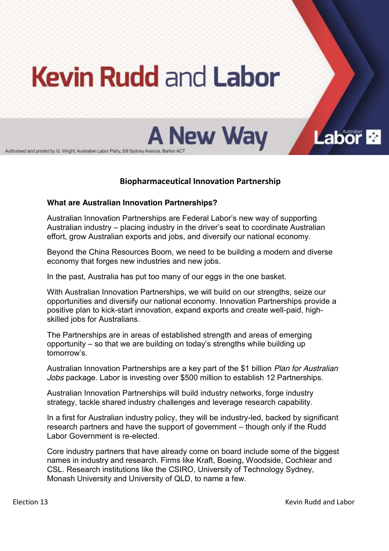# **Kevin Rudd and Labor**



Authorised and printed by G. Wright, Australian Labor Party, 5/9 Sydney Avenue, Barton ACT

## **Biopharmaceutical Innovation Partnership**

#### **What are Australian Innovation Partnerships?**

Australian Innovation Partnerships are Federal Labor's new way of supporting Australian industry  $-$  placing industry in the driver's seat to coordinate Australian effort, grow Australian exports and jobs, and diversify our national economy.

Beyond the China Resources Boom, we need to be building a modern and diverse economy that forges new industries and new jobs.

In the past, Australia has put too many of our eggs in the one basket.

With Australian Innovation Partnerships, we will build on our strengths, seize our opportunities and diversify our national economy. Innovation Partnerships provide a positive plan to kick-start innovation, expand exports and create well-paid, highskilled jobs for Australians.

The Partnerships are in areas of established strength and areas of emerging opportunity  $-$  so that we are building on today's strengths while building up tomorrow's

Australian Innovation Partnerships are a key part of the \$1 billion *Plan for Australian Jobs* package. Labor is investing over \$500 million to establish 12 Partnerships.

Australian Innovation Partnerships will build industry networks, forge industry strategy, tackle shared industry challenges and leverage research capability.

In a first for Australian industry policy, they will be industry-led, backed by significant research partners and have the support of government – though only if the Rudd Labor Government is re-elected.

Core industry partners that have already come on board include some of the biggest names in industry and research. Firms like Kraft, Boeing, Woodside, Cochlear and CSL. Research institutions like the CSIRO, University of Technology Sydney, Monash University and University of QLD, to name a few.

Labor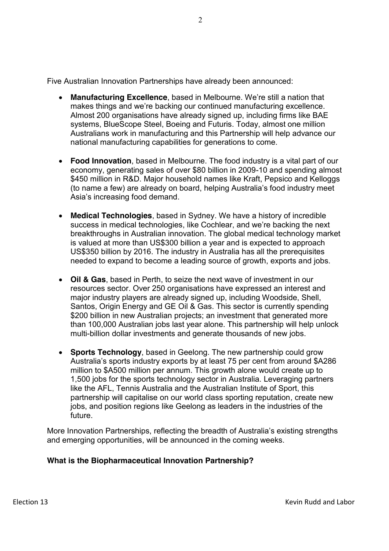Five Australian Innovation Partnerships have already been announced:

- **Manufacturing Excellence**, based in Melbourne, We're still a nation that makes things and we're backing our continued manufacturing excellence. Almost 200 organisations have already signed up, including firms like BAE systems, BlueScope Steel, Boeing and Futuris. Today, almost one million Australians work in manufacturing and this Partnership will help advance our national manufacturing capabilities for generations to come.
- **Food Innovation**, based in Melbourne. The food industry is a vital part of our economy, generating sales of over \$80 billion in 2009-10 and spending almost \$450 million in R&D. Major household names like Kraft, Pepsico and Kelloggs (to name a few) are already on board, helping Australia's food industry meet Asia's increasing food demand.
- **Medical Technologies**, based in Sydney. We have a history of incredible success in medical technologies, like Cochlear, and we're backing the next breakthroughs in Australian innovation. The global medical technology market is valued at more than US\$300 billion a year and is expected to approach US\$350 billion by 2016. The industry in Australia has all the prerequisites needed to expand to become a leading source of growth, exports and jobs.
- x **Oil & Gas**, based in Perth, to seize the next wave of investment in our resources sector. Over 250 organisations have expressed an interest and major industry players are already signed up, including Woodside, Shell, Santos, Origin Energy and GE Oil & Gas. This sector is currently spending \$200 billion in new Australian projects; an investment that generated more than 100,000 Australian jobs last year alone. This partnership will help unlock multi-billion dollar investments and generate thousands of new jobs.
- **Sports Technology**, based in Geelong. The new partnership could grow Australia's sports industry exports by at least 75 per cent from around \$A286 million to \$A500 million per annum. This growth alone would create up to 1,500 jobs for the sports technology sector in Australia. Leveraging partners like the AFL, Tennis Australia and the Australian Institute of Sport, this partnership will capitalise on our world class sporting reputation, create new jobs, and position regions like Geelong as leaders in the industries of the future.

More Innovation Partnerships, reflecting the breadth of Australia's existing strengths and emerging opportunities, will be announced in the coming weeks.

## **What is the Biopharmaceutical Innovation Partnership?**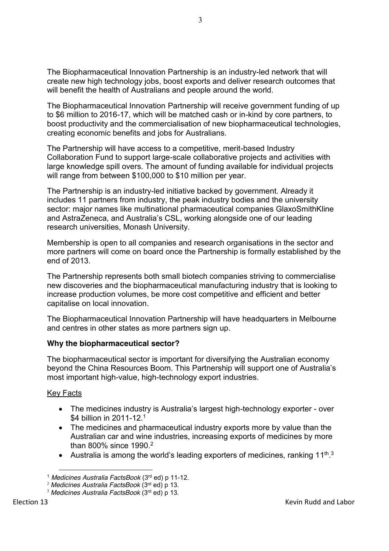The Biopharmaceutical Innovation Partnership is an industry-led network that will create new high technology jobs, boost exports and deliver research outcomes that will benefit the health of Australians and people around the world.

The Biopharmaceutical Innovation Partnership will receive government funding of up to \$6 million to 2016-17, which will be matched cash or in-kind by core partners, to boost productivity and the commercialisation of new biopharmaceutical technologies, creating economic benefits and jobs for Australians.

The Partnership will have access to a competitive, merit-based Industry Collaboration Fund to support large-scale collaborative projects and activities with large knowledge spill overs. The amount of funding available for individual projects will range from between \$100,000 to \$10 million per year.

The Partnership is an industry-led initiative backed by government. Already it includes 11 partners from industry, the peak industry bodies and the university sector: major names like multinational pharmaceutical companies GlaxoSmithKline and AstraZeneca, and Australia's CSL, working alongside one of our leading research universities, Monash University.

Membership is open to all companies and research organisations in the sector and more partners will come on board once the Partnership is formally established by the end of 2013.

The Partnership represents both small biotech companies striving to commercialise new discoveries and the biopharmaceutical manufacturing industry that is looking to increase production volumes, be more cost competitive and efficient and better capitalise on local innovation.

The Biopharmaceutical Innovation Partnership will have headquarters in Melbourne and centres in other states as more partners sign up.

## **Why the biopharmaceutical sector?**

The biopharmaceutical sector is important for diversifying the Australian economy beyond the China Resources Boom. This Partnership will support one of Australia's most important high-value, high-technology export industries.

## Key Facts

- The medicines industry is Australia's largest high-technology exporter over \$4 billion in 2011-12.<sup>1</sup>
- The medicines and pharmaceutical industry exports more by value than the Australian car and wine industries, increasing exports of medicines by more than 800% since 1990. 2
- Australia is among the world's leading exporters of medicines, ranking  $11<sup>th,3</sup>$

 $\overline{a}$ <sup>1</sup> *Medicines Australia FactsBook* (3rd ed) p 11-12.

<sup>2</sup> *Medicines Australia FactsBook* (3rd ed) p 13.

<sup>3</sup> *Medicines Australia FactsBook* (3rd ed) p 13.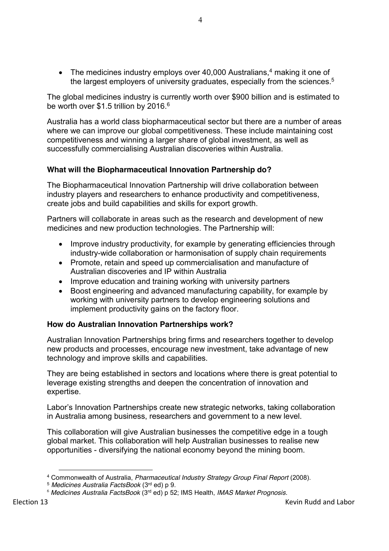• The medicines industry employs over 40,000 Australians, $4$  making it one of the largest employers of university graduates, especially from the sciences.<sup>5</sup>

The global medicines industry is currently worth over \$900 billion and is estimated to be worth over \$1.5 trillion by 2016.<sup>6</sup>

Australia has a world class biopharmaceutical sector but there are a number of areas where we can improve our global competitiveness. These include maintaining cost competitiveness and winning a larger share of global investment, as well as successfully commercialising Australian discoveries within Australia.

#### **What will the Biopharmaceutical Innovation Partnership do?**

The Biopharmaceutical Innovation Partnership will drive collaboration between industry players and researchers to enhance productivity and competitiveness, create jobs and build capabilities and skills for export growth.

Partners will collaborate in areas such as the research and development of new medicines and new production technologies. The Partnership will:

- Improve industry productivity, for example by generating efficiencies through industry-wide collaboration or harmonisation of supply chain requirements
- Promote, retain and speed up commercialisation and manufacture of Australian discoveries and IP within Australia
- Improve education and training working with university partners
- Boost engineering and advanced manufacturing capability, for example by working with university partners to develop engineering solutions and implement productivity gains on the factory floor.

#### **How do Australian Innovation Partnerships work?**

Australian Innovation Partnerships bring firms and researchers together to develop new products and processes, encourage new investment, take advantage of new technology and improve skills and capabilities.

They are being established in sectors and locations where there is great potential to leverage existing strengths and deepen the concentration of innovation and expertise.

Labor's Innovation Partnerships create new strategic networks, taking collaboration in Australia among business, researchers and government to a new level.

This collaboration will give Australian businesses the competitive edge in a tough global market. This collaboration will help Australian businesses to realise new opportunities - diversifying the national economy beyond the mining boom.

 $\overline{a}$ 

<sup>4</sup> Commonwealth of Australia, *Pharmaceutical Industry Strategy Group Final Report* (2008).

<sup>5</sup> *Medicines Australia FactsBook* (3rd ed) p 9.

<sup>6</sup> *Medicines Australia FactsBook* (3rd ed) p 52; IMS Health, *IMAS Market Prognosis.*